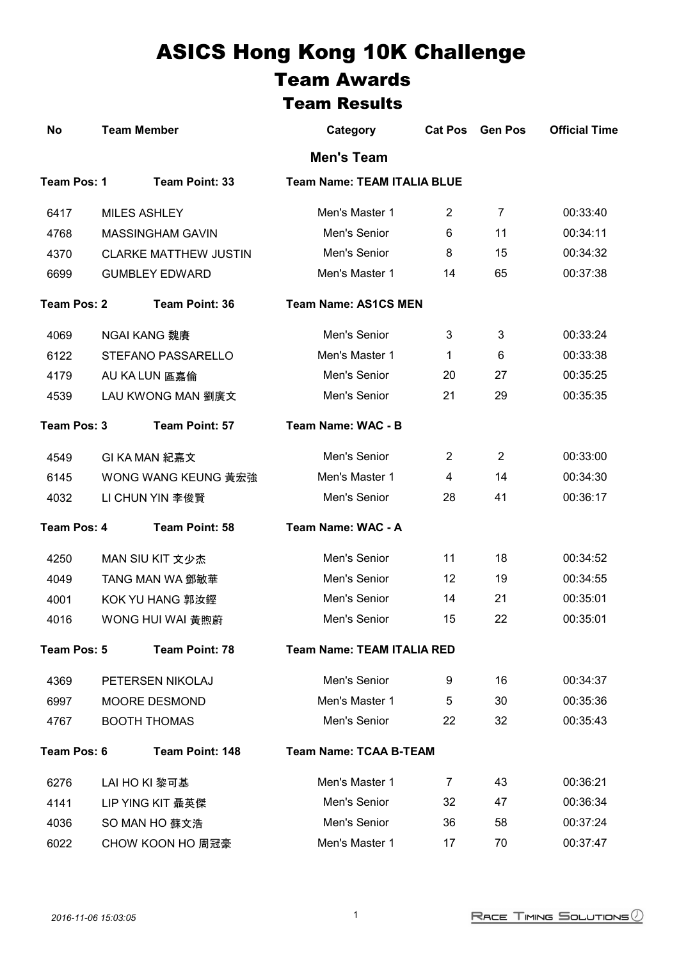## ASICS Hong Kong 10K Challenge Team Awards

## Team Results

| <b>No</b>          | <b>Team Member</b>           | Category                           | <b>Cat Pos</b> | <b>Gen Pos</b> | <b>Official Time</b> |
|--------------------|------------------------------|------------------------------------|----------------|----------------|----------------------|
|                    |                              | <b>Men's Team</b>                  |                |                |                      |
| Team Pos: 1        | Team Point: 33               | <b>Team Name: TEAM ITALIA BLUE</b> |                |                |                      |
| 6417               | <b>MILES ASHLEY</b>          | Men's Master 1                     | $\overline{2}$ | 7              | 00:33:40             |
| 4768               | <b>MASSINGHAM GAVIN</b>      | Men's Senior                       | 6              | 11             | 00:34:11             |
| 4370               | <b>CLARKE MATTHEW JUSTIN</b> | Men's Senior                       | 8              | 15             | 00:34:32             |
| 6699               | <b>GUMBLEY EDWARD</b>        | Men's Master 1                     | 14             | 65             | 00:37:38             |
| <b>Team Pos: 2</b> | <b>Team Point: 36</b>        | <b>Team Name: AS1CS MEN</b>        |                |                |                      |
| 4069               | <b>NGAI KANG 魏賡</b>          | Men's Senior                       | 3              | 3              | 00:33:24             |
| 6122               | STEFANO PASSARELLO           | Men's Master 1                     | 1              | 6              | 00:33:38             |
| 4179               | AU KA LUN 區嘉倫                | Men's Senior                       | 20             | 27             | 00:35:25             |
| 4539               | LAU KWONG MAN 劉廣文            | Men's Senior                       | 21             | 29             | 00:35:35             |
| Team Pos: 3        | Team Point: 57               | Team Name: WAC - B                 |                |                |                      |
| 4549               | GI KA MAN 紀嘉文                | Men's Senior                       | $\overline{2}$ | $\overline{2}$ | 00:33:00             |
| 6145               | <b>WONG WANG KEUNG 黃宏強</b>   | Men's Master 1                     | 4              | 14             | 00:34:30             |
| 4032               | LI CHUN YIN 李俊賢              | Men's Senior                       | 28             | 41             | 00:36:17             |
| Team Pos: 4        | Team Point: 58               | Team Name: WAC - A                 |                |                |                      |
| 4250               | MAN SIU KIT 文少杰              | Men's Senior                       | 11             | 18             | 00:34:52             |
| 4049               | <b>TANG MAN WA 鄧敏華</b>       | Men's Senior                       | 12             | 19             | 00:34:55             |
| 4001               | KOK YU HANG 郭汝鏗              | Men's Senior                       | 14             | 21             | 00:35:01             |
| 4016               | WONG HUI WAI 黃煦蔚             | Men's Senior                       | 15             | 22             | 00:35:01             |
| Team Pos: 5        | Team Point: 78               | <b>Team Name: TEAM ITALIA RED</b>  |                |                |                      |
| 4369               | PETERSEN NIKOLAJ             | Men's Senior                       | 9              | 16             | 00:34:37             |
| 6997               | MOORE DESMOND                | Men's Master 1                     | 5              | 30             | 00:35:36             |
| 4767               | <b>BOOTH THOMAS</b>          | Men's Senior                       | 22             | 32             | 00:35:43             |
| Team Pos: 6        | Team Point: 148              | <b>Team Name: TCAA B-TEAM</b>      |                |                |                      |
| 6276               | LAI HO KI 黎可基                | Men's Master 1                     | 7              | 43             | 00:36:21             |
| 4141               | LIP YING KIT 聶英傑             | Men's Senior                       | 32             | 47             | 00:36:34             |
| 4036               | SO MAN HO 蘇文浩                | Men's Senior                       | 36             | 58             | 00:37:24             |
| 6022               | CHOW KOON HO 周冠豪             | Men's Master 1                     | 17             | 70             | 00:37:47             |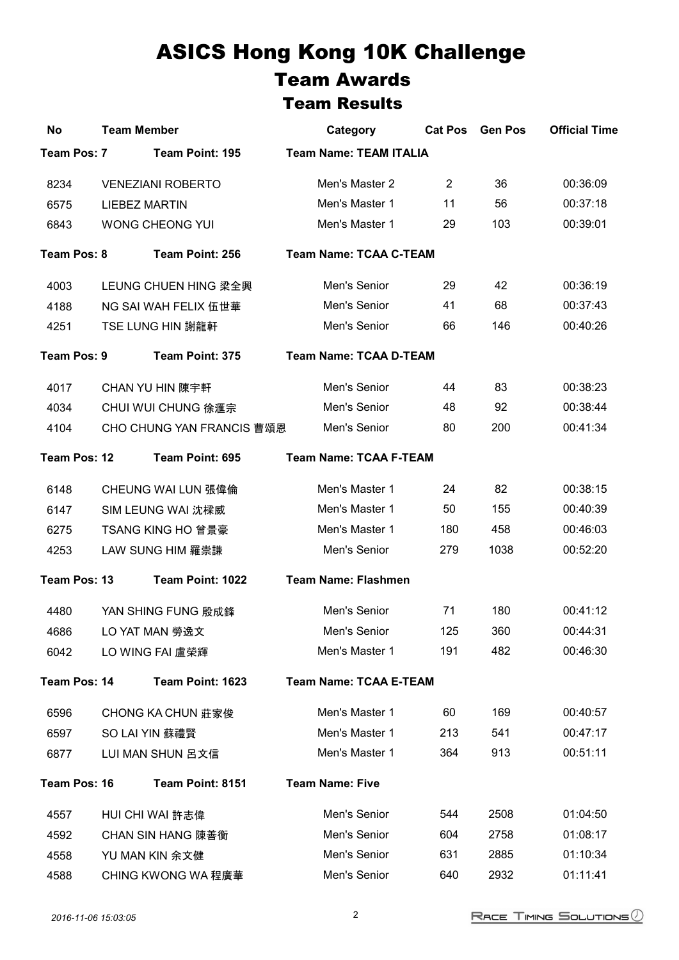## ASICS Hong Kong 10K Challenge Team Awards Team Results

| <b>No</b>    | <b>Team Member</b>               | Category                      | <b>Cat Pos</b> | <b>Gen Pos</b> | <b>Official Time</b> |
|--------------|----------------------------------|-------------------------------|----------------|----------------|----------------------|
| Team Pos: 7  | Team Point: 195                  | <b>Team Name: TEAM ITALIA</b> |                |                |                      |
| 8234         | <b>VENEZIANI ROBERTO</b>         | Men's Master 2                | $\overline{2}$ | 36             | 00:36:09             |
| 6575         | <b>LIEBEZ MARTIN</b>             | Men's Master 1                | 11             | 56             | 00:37:18             |
| 6843         | <b>WONG CHEONG YUI</b>           | Men's Master 1                | 29             | 103            | 00:39:01             |
| Team Pos: 8  | Team Point: 256                  | <b>Team Name: TCAA C-TEAM</b> |                |                |                      |
| 4003         | LEUNG CHUEN HING 梁全興             | Men's Senior                  | 29             | 42             | 00:36:19             |
| 4188         | <b>NG SAI WAH FELIX 伍世華</b>      | Men's Senior                  | 41             | 68             | 00:37:43             |
| 4251         | TSE LUNG HIN 謝龍軒                 | Men's Senior                  | 66             | 146            | 00:40:26             |
| Team Pos: 9  | Team Point: 375                  | <b>Team Name: TCAA D-TEAM</b> |                |                |                      |
| 4017         | <b>CHAN YU HIN 陳宇軒</b>           | Men's Senior                  | 44             | 83             | 00:38:23             |
| 4034         | <b>CHUI WUI CHUNG 徐滙宗</b>        | Men's Senior                  | 48             | 92             | 00:38:44             |
| 4104         | <b>CHO CHUNG YAN FRANCIS 曹頌恩</b> | Men's Senior                  | 80             | 200            | 00:41:34             |
| Team Pos: 12 | Team Point: 695                  | <b>Team Name: TCAA F-TEAM</b> |                |                |                      |
| 6148         | <b>CHEUNG WAI LUN 張偉倫</b>        | Men's Master 1                | 24             | 82             | 00:38:15             |
| 6147         | SIM LEUNG WAI 沈樑威                | Men's Master 1                | 50             | 155            | 00:40:39             |
| 6275         | <b>TSANG KING HO 曾景豪</b>         | Men's Master 1                | 180            | 458            | 00:46:03             |
| 4253         | LAW SUNG HIM 羅崇謙                 | Men's Senior                  | 279            | 1038           | 00:52:20             |
| Team Pos: 13 | Team Point: 1022                 | <b>Team Name: Flashmen</b>    |                |                |                      |
| 4480         | YAN SHING FUNG 殷成鋒               | Men's Senior                  | 71             | 180            | 00:41:12             |
| 4686         | LO YAT MAN 勞逸文                   | Men's Senior                  | 125            | 360            | 00:44:31             |
| 6042         | LO WING FAI 盧榮輝                  | Men's Master 1                | 191            | 482            | 00:46:30             |
| Team Pos: 14 | Team Point: 1623                 | <b>Team Name: TCAA E-TEAM</b> |                |                |                      |
| 6596         | <b>CHONG KA CHUN 莊家俊</b>         | Men's Master 1                | 60             | 169            | 00:40:57             |
| 6597         | SO LAI YIN 蘇禮賢                   | Men's Master 1                | 213            | 541            | 00:47:17             |
| 6877         | LUI MAN SHUN 呂文信                 | Men's Master 1                | 364            | 913            | 00:51:11             |
| Team Pos: 16 | Team Point: 8151                 | <b>Team Name: Five</b>        |                |                |                      |
| 4557         | HUI CHI WAI 許志偉                  | Men's Senior                  | 544            | 2508           | 01:04:50             |
| 4592         | <b>CHAN SIN HANG 陳善衡</b>         | Men's Senior                  | 604            | 2758           | 01:08:17             |
| 4558         | YU MAN KIN 余文健                   | Men's Senior                  | 631            | 2885           | 01:10:34             |
| 4588         | <b>CHING KWONG WA 程廣華</b>        | Men's Senior                  | 640            | 2932           | 01:11:41             |